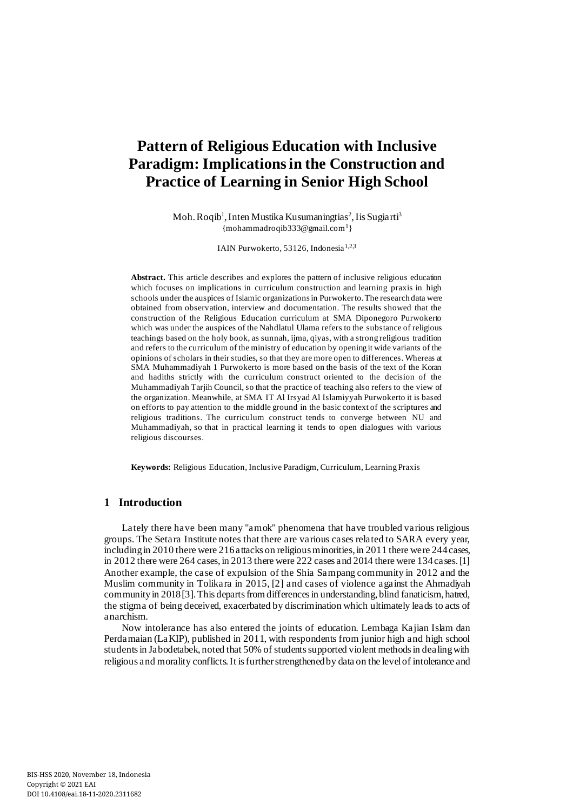# **Pattern of Religious Education with Inclusive Paradigm: Implications in the Construction and Practice of Learning in Senior High School**

Moh. Roqib<sup>1</sup>, Inten Mustika Kusumaningtias<sup>2</sup>, Iis Sugiarti<sup>3</sup> [{mohammadroqib333@gmail.com](mailto:%7bmohammadroqib333@gmail.com)<sup>1</sup> }

IAIN Purwokerto, 53126, Indonesia<sup>1,23</sup>

**Abstract.** This article describes and explores the pattern of inclusive religious education which focuses on implications in curriculum construction and learning praxis in high schools under the auspices of Islamic organizations in Purwokerto. The research data were obtained from observation, interview and documentation. The results showed that the construction of the Religious Education curriculum at SMA Diponegoro Purwokerto which was under the auspices of the Nahdlatul Ulama refers to the substance of religious teachings based on the holy book, as sunnah, ijma, qiyas, with a strong religious tradition and refers to the curriculum of the ministry of education by opening it wide variants of the opinions of scholars in their studies, so that they are more open to differences. Whereas at SMA Muhammadiyah 1 Purwokerto is more based on the basis of the text of the Koran and hadiths strictly with the curriculum construct oriented to the decision of the Muhammadiyah Tarjih Council, so that the practice of teaching also refers to the view of the organization. Meanwhile, at SMA IT Al Irsyad Al Islamiyyah Purwokerto it is based on efforts to pay attention to the middle ground in the basic context of the scriptures and religious traditions. The curriculum construct tends to converge between NU and Muhammadiyah, so that in practical learning it tends to open dialogues with various religious discourses.

**Keywords:** Religious Education, Inclusive Paradigm, Curriculum, Learning Praxis

## **1 Introduction**

Lately there have been many "amok" phenomena that have troubled various religious groups. The Setara Institute notes that there are various cases related to SARA every year, including in 2010 there were 216 attacks on religious minorities, in 2011 there were 244 cases, in 2012 there were 264 cases, in 2013 there were 222 cases and 2014 there were 134 cases. [1] Another example, the case of expulsion of the Shia Sampang community in 2012 and the Muslim community in Tolikara in 2015, [2] and cases of violence against the Ahmadiyah community in 2018 [3]. This departs from differences in understanding, blind fanaticism, hatred, the stigma of being deceived, exacerbated by discrimination which ultimately leads to acts of anarchism.

Now intolerance has also entered the joints of education. Lembaga Kajian Islam dan Perdamaian (LaKIP), published in 2011, with respondents from junior high and high school students in Jabodetabek, noted that 50% of students supported violent methods in dealing with religious and morality conflicts. It is further strengthened by data on the level of intolerance and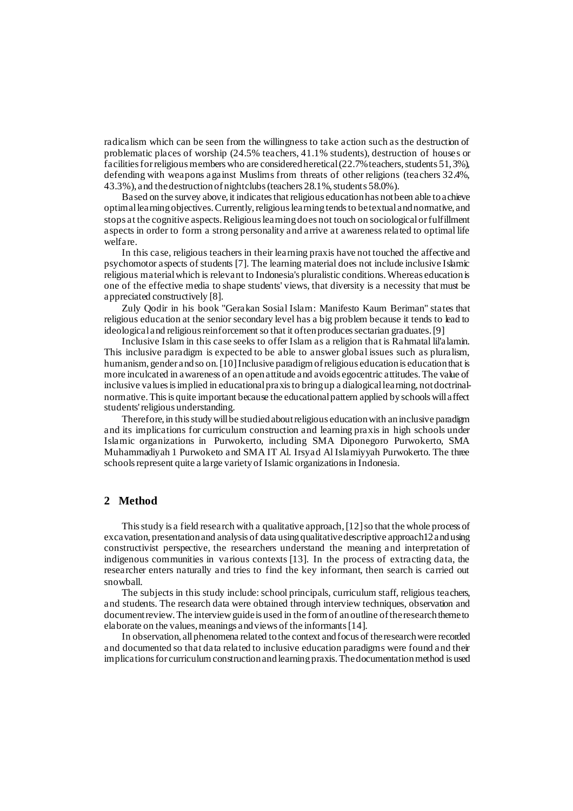radicalism which can be seen from the willingness to take action such as the destruction of problematic places of worship (24.5% teachers, 41.1% students), destruction of houses or facilities for religious members who are considered heretical (22.7% teachers, students 51, 3%), defending with weapons against Muslims from threats of other religions (teachers 32.4%, 43.3%), and the destruction of nightclubs (teachers 28.1%, students 58.0%).

Based on the survey above, it indicates that religious education has not been able to achieve optimal learning objectives. Currently, religious learning tends to be textual and normative, and stops at the cognitive aspects. Religious learning does not touch on sociological or fulfillment aspects in order to form a strong personality and arrive at awareness related to optimal life welfare.

In this case, religious teachers in their learning praxis have not touched the affective and psychomotor aspects of students [7]. The learning material does not include inclusive Islamic religious material which is relevant to Indonesia's pluralistic conditions. Whereas education is one of the effective media to shape students' views, that diversity is a necessity that must be appreciated constructively [8].

Zuly Qodir in his book "Gerakan Sosial Islam: Manifesto Kaum Beriman" states that religious education at the senior secondary level has a big problem because it tends to lead to ideological and religious reinforcement so that it often produces sectarian graduates. [9]

Inclusive Islam in this case seeks to offer Islam as a religion that is Rahmatal lil'alamin. This inclusive paradigm is expected to be able to answer global issues such as pluralism, humanism, gender and so on. [10] Inclusive paradigm of religious education is education that is more inculcated in awareness of an open attitude and avoids egocentric attitudes. The value of inclusive values is implied in educational praxis to bring up a dialogical learning, not doctrinalnormative. This is quite important because the educational pattern applied by schools will affect students' religious understanding.

Therefore, in this study will be studied about religious education with an inclusive paradigm and its implications for curriculum construction and learning praxis in high schools under Islamic organizations in Purwokerto, including SMA Diponegoro Purwokerto, SMA Muhammadiyah 1 Purwoketo and SMA IT Al. Irsyad Al Islamiyyah Purwokerto. The three schools represent quite a large variety of Islamic organizations in Indonesia.

## **2 Method**

This study is a field research with a qualitative approach, [12] so that the whole process of excavation, presentation and analysis of data using qualitative descriptive approach12 and using constructivist perspective, the researchers understand the meaning and interpretation of indigenous communities in various contexts [13]. In the process of extracting data, the researcher enters naturally and tries to find the key informant, then search is carried out snowball.

The subjects in this study include: school principals, curriculum staff, religious teachers, and students. The research data were obtained through interview techniques, observation and document review. The interview guide is used in the form of an outline of the research theme to elaborate on the values, meanings and views of the informants [14].

In observation, all phenomena related to the context and focus of the research were recorded and documented so that data related to inclusive education paradigms were found and their implications for curriculum construction and learning praxis. The documentation method is used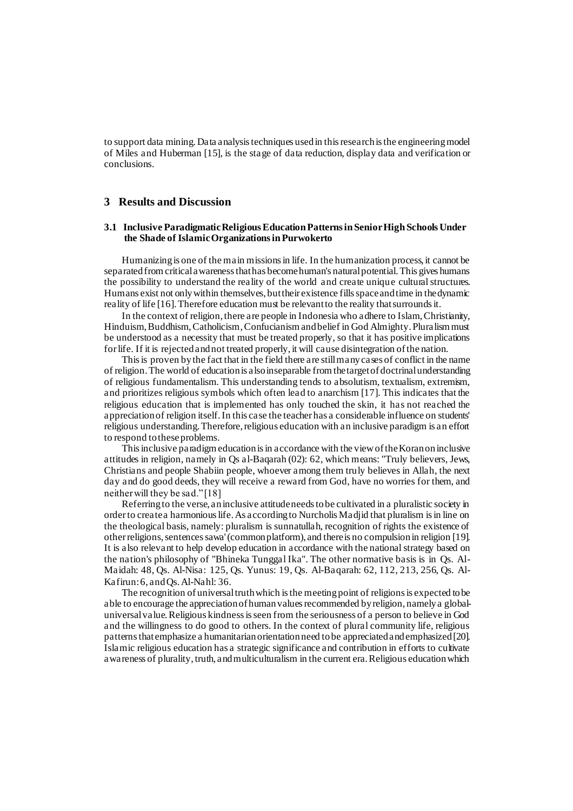to support data mining. Data analysis techniques used in this research is the engineering model of Miles and Huberman [15], is the stage of data reduction, display data and verification or conclusions.

## **3 Results and Discussion**

#### **3.1 Inclusive Paradigmatic Religious Education Patterns in Senior High Schools Under the Shade of Islamic Organizations in Purwokerto**

Humanizing is one of the main missions in life. In the humanization process, it cannot be separated from critical awareness that has become human's natural potential. This gives humans the possibility to understand the reality of the world and create unique cultural structures. Humans exist not only within themselves, but their existence fills space and time in the dynamic reality of life [16]. Therefore education must be relevant to the reality that surrounds it.

In the context of religion, there are people in Indonesia who adhere to Islam, Christianity, Hinduism, Buddhism, Catholicism, Confucianism and belief in God Almighty. Pluralism must be understood as a necessity that must be treated properly, so that it has positive implications for life. If it is rejected and not treated properly, it will cause disintegration of the nation.

This is proven by the fact that in the field there are still many cases of conflict in the name of religion. The world of education is also inseparable from the target of doctrinal understanding of religious fundamentalism. This understanding tends to absolutism, textualism, extremism, and prioritizes religious symbols which often lead to anarchism [17]. This indicates that the religious education that is implemented has only touched the skin, it has not reached the appreciation of religion itself. In this case the teacher has a considerable influence on students' religious understanding. Therefore, religious education with an inclusive paradigm is an effort to respond to theseproblems.

This inclusive paradigm education is in accordance with the view of the Koran on inclusive attitudes in religion, namely in Qs al-Baqarah (02): 62, which means: "Truly believers, Jews, Christians and people Shabiin people, whoever among them truly believes in Allah, the next day and do good deeds, they will receive a reward from God, have no worries for them, and neither will they be sad." [18]

Referring to the verse, an inclusive attitude needs to be cultivated in a pluralistic society in order to create a harmonious life. As according to Nurcholis Madjid that pluralism is in line on the theological basis, namely: pluralism is sunnatullah, recognition of rights the existence of other religions, sentences sawa' (common platform), and there is no compulsion in religion [19]. It is also relevant to help develop education in accordance with the national strategy based on the nation's philosophy of "Bhineka Tunggal Ika". The other normative basis is in Qs. Al-Maidah: 48, Qs. Al-Nisa: 125, Qs. Yunus: 19, Qs. Al-Baqarah: 62, 112, 213, 256, Qs. Al-Kafirun: 6, and Qs. Al-Nahl: 36.

The recognition of universal truth which is the meeting point of religions is expected to be able to encourage the appreciation of human values recommended by religion, namely a globaluniversal value. Religious kindness is seen from the seriousness of a person to believe in God and the willingness to do good to others. In the context of plural community life, religious patterns that emphasize a humanitarian orientation need to be appreciated and emphasized [20]. Islamic religious education has a strategic significance and contribution in efforts to cultivate awareness of plurality, truth, and multiculturalism in the current era. Religious education which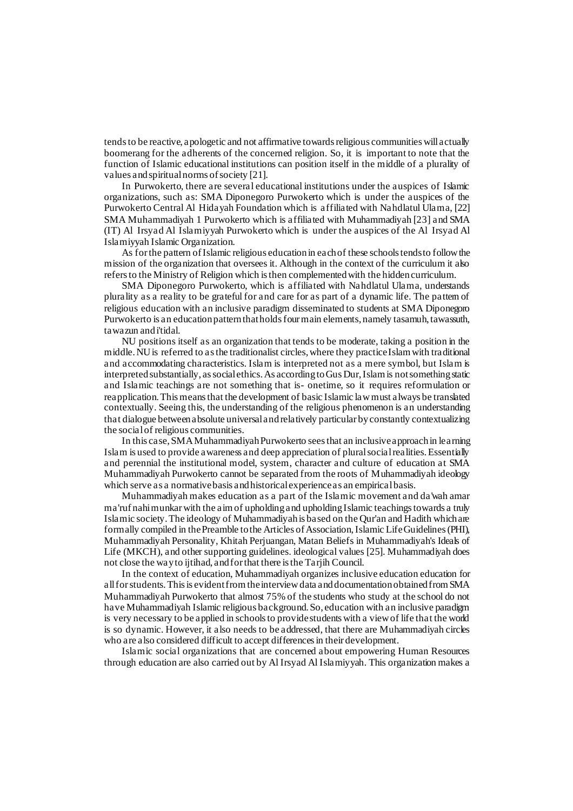tends to be reactive, apologetic and not affirmative towards religious communities will actually boomerang for the adherents of the concerned religion. So, it is important to note that the function of Islamic educational institutions can position itself in the middle of a plurality of values and spiritual norms of society [21].

In Purwokerto, there are several educational institutions under the auspices of Islamic organizations, such as: SMA Diponegoro Purwokerto which is under the auspices of the Purwokerto Central Al Hidayah Foundation which is affiliated with Nahdlatul Ulama, [22] SMA Muhammadiyah 1 Purwokerto which is affiliated with Muhammadiyah [23] and SMA (IT) Al Irsyad Al Islamiyyah Purwokerto which is under the auspices of the Al Irsyad Al Islamiyyah Islamic Organization.

As for the pattern of Islamic religious education in each of these schools tends to follow the mission of the organization that oversees it. Although in the context of the curriculum it also refers to the Ministry of Religion which is then complemented with the hidden curriculum.

SMA Diponegoro Purwokerto, which is affiliated with Nahdlatul Ulama, understands plurality as a reality to be grateful for and care for as part of a dynamic life. The pattern of religious education with an inclusive paradigm disseminated to students at SMA Diponegoro Purwokerto is an education pattern that holds four main elements, namely tasamuh, tawassuth, tawazun and i'tidal.

NU positions itself as an organization that tends to be moderate, taking a position in the middle. NU is referred to as the traditionalist circles, where they practice Islam with traditional and accommodating characteristics. Islam is interpreted not as a mere symbol, but Islam is interpreted substantially, as social ethics. As according to Gus Dur, Islam is not something static and Islamic teachings are not something that is- onetime, so it requires reformulation or reapplication. This means that the development of basic Islamic law must always be translated contextually. Seeing this, the understanding of the religious phenomenon is an understanding that dialogue between absolute universal and relatively particular by constantly contextualizing the social of religious communities.

In this case, SMA Muhammadiyah Purwokerto sees that an inclusive approach in learning Islam is used to provide awareness and deep appreciation of plural social realities. Essentially and perennial the institutional model, system, character and culture of education at SMA Muhammadiyah Purwokerto cannot be separated from the roots of Muhammadiyah ideology which serve as a normative basis and historical experience as an empirical basis.

Muhammadiyah makes education as a part of the Islamic movement and da'wah amar ma'ruf nahi munkar with the aim of upholding and upholding Islamic teachings towards a truly Islamic society. The ideology of Muhammadiyah is based on the Qur'an and Hadith which are formally compiled in the Preamble to the Articles of Association, Islamic Life Guidelines (PHI), Muhammadiyah Personality, Khitah Perjuangan, Matan Beliefs in Muhammadiyah's Ideals of Life (MKCH), and other supporting guidelines. ideological values [25]. Muhammadiyah does not close the way to ijtihad, and for that there is the Tarjih Council.

In the context of education, Muhammadiyah organizes inclusive education education for all for students. This is evident from the interview data and documentation obtained from SMA Muhammadiyah Purwokerto that almost 75% of the students who study at the school do not have Muhammadiyah Islamic religious background. So, education with an inclusive paradigm is very necessary to be applied in schools to provide students with a view of life that the world is so dynamic. However, it also needs to be addressed, that there are Muhammadiyah circles who are also considered difficult to accept differences in their development.

Islamic social organizations that are concerned about empowering Human Resources through education are also carried out by Al Irsyad Al Islamiyyah. This organization makes a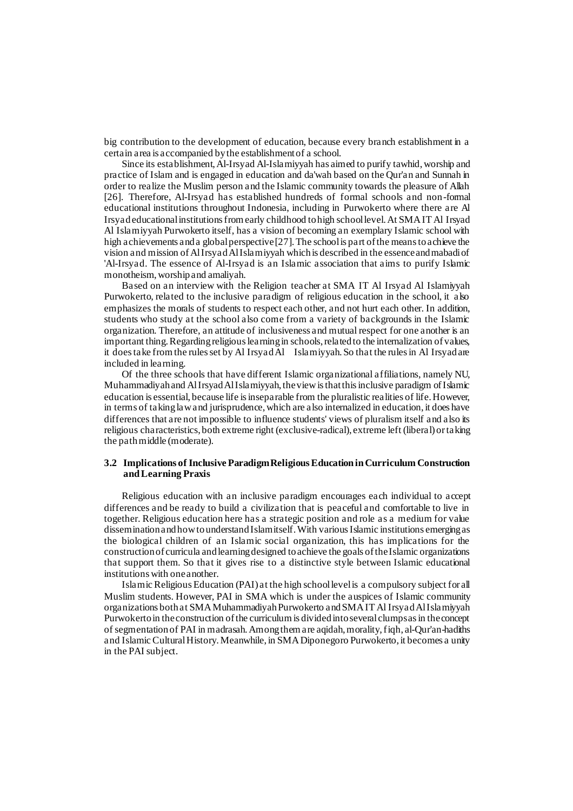big contribution to the development of education, because every branch establishment in a certain area is accompanied by the establishment of a school.

Since its establishment, Al-Irsyad Al-Islamiyyah has aimed to purify tawhid, worship and practice of Islam and is engaged in education and da'wah based on the Qur'an and Sunnah in order to realize the Muslim person and the Islamic community towards the pleasure of Allah [26]. Therefore, Al-Irsyad has established hundreds of formal schools and non-formal educational institutions throughout Indonesia, including in Purwokerto where there are Al Irsyad educational institutions from early childhood to high school level. At SMA IT Al Irsyad Al Islamiyyah Purwokerto itself, has a vision of becoming an exemplary Islamic school with high achievements and a global perspective [27]. The school is part of the means to achieve the vision and mission of Al Irsyad Al Islamiyyah which is described in the essence and mabadi of 'Al-Irsyad. The essence of Al-Irsyad is an Islamic association that aims to purify Islamic monotheism, worship and amaliyah.

Based on an interview with the Religion teacher at SMA IT Al Irsyad Al Islamiyyah Purwokerto, related to the inclusive paradigm of religious education in the school, it also emphasizes the morals of students to respect each other, and not hurt each other. In addition, students who study at the school also come from a variety of backgrounds in the Islamic organization. Therefore, an attitude of inclusiveness and mutual respect for one another is an important thing. Regarding religious learning in schools, related to the internalization of values, it does take from the rules set by Al Irsyad Al Islamiyyah. So that the rules in Al Irsyad are included in learning.

Of the three schools that have different Islamic organizational affiliations, namely NU, Muhammadiyah and Al Irsyad Al Islamiyyah, the view is that this inclusive paradigm of Islamic education is essential, because life is inseparable from the pluralistic realities of life. However, in terms of taking law and jurisprudence, which are also internalized in education, it does have differences that are not impossible to influence students' views of pluralism itself and also its religious characteristics, both extreme right (exclusive-radical), extreme left (liberal) or taking the path middle (moderate).

### **3.2 Implications of Inclusive Paradigm Religious Education in Curriculum Construction and Learning Praxis**

Religious education with an inclusive paradigm encourages each individual to accept differences and be ready to build a civilization that is peaceful and comfortable to live in together. Religious education here has a strategic position and role as a medium for value dissemination and how to understand Islam itself. With various Islamic institutions emerging as the biological children of an Islamic social organization, this has implications for the construction of curricula and learning designed to achieve the goals of the Islamic organizations that support them. So that it gives rise to a distinctive style between Islamic educational institutions with one another.

Islamic Religious Education (PAI) at the high school level is a compulsory subject for all Muslim students. However, PAI in SMA which is under the auspices of Islamic community organizations both at SMA Muhammadiyah Purwokerto and SMA IT Al Irsyad Al Islamiyyah Purwokerto in the construction of the curriculum is divided into several clumps as in the concept of segmentation of PAI in madrasah. Among them are aqidah, morality, fiqh, al-Qur'an-hadiths and Islamic Cultural History. Meanwhile, in SMA Diponegoro Purwokerto, it becomes a unity in the PAI subject.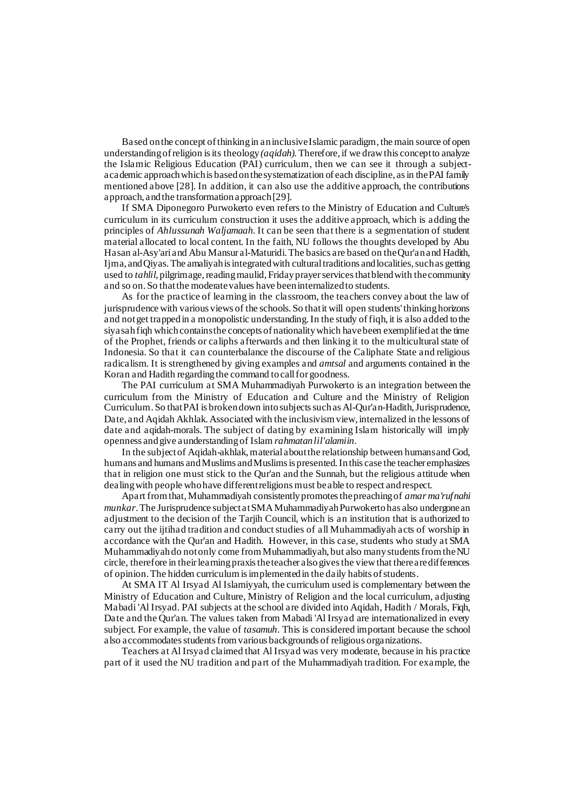Based on the concept of thinking in an inclusive Islamic paradigm, the main source of open understanding of religion is its theology *(aqidah).*Therefore, if we draw this concept to analyze the Islamic Religious Education (PAI) curriculum, then we can see it through a subjectacademic approach which is based on the systematization of each discipline, as in the PAI family mentioned above [28]. In addition, it can also use the additive approach, the contributions approach, and the transformation approach [29].

If SMA Diponegoro Purwokerto even refers to the Ministry of Education and Culture's curriculum in its curriculum construction it uses the additive approach, which is adding the principles of *Ahlussunah Waljamaah*. It can be seen that there is a segmentation of student material allocated to local content. In the faith, NU follows the thoughts developed by Abu Hasan al-Asy'ari and Abu Mansur al-Maturidi. The basics are based on the Qur'an and Hadith, Ijma, and Qiyas. The amaliyah is integrated with cultural traditions and localities, such as getting used to *tahlil*, pilgrimage, reading maulid, Friday prayer services that blend with the community and so on. So that the moderate values have been internalized to students.

As for the practice of learning in the classroom, the teachers convey about the law of jurisprudence with various views of the schools. So that it will open students' thinking horizons and not get trapped in a monopolistic understanding. In the study of fiqh, it is also added to the siyasah fiqh which contains the concepts of nationality which have been exemplified at the time of the Prophet, friends or caliphs afterwards and then linking it to the multicultural state of Indonesia. So that it can counterbalance the discourse of the Caliphate State and religious radicalism. It is strengthened by giving examples and *amtsal* and arguments contained in the Koran and Hadith regarding the command to call for goodness.

The PAI curriculum at SMA Muhammadiyah Purwokerto is an integration between the curriculum from the Ministry of Education and Culture and the Ministry of Religion Curriculum. So that PAI is broken down into subjects such as Al-Qur'an-Hadith, Jurisprudence, Date, and Aqidah Akhlak. Associated with the inclusivism view, internalized in the lessons of date and aqidah-morals. The subject of dating by examining Islam historically will imply openness and give aunderstanding of Islam *rahmatan lil'alamiin.* 

In the subject of Aqidah-akhlak, material about the relationship between humans and God, humans and humans and Muslims and Muslims is presented. In this case the teacher emphasizes that in religion one must stick to the Qur'an and the Sunnah, but the religious attitude when dealing with people who have different religions must be able to respect and respect.

Apart from that, Muhammadiyah consistently promotes the preaching of *amar ma'ruf nahi munkar*. The Jurisprudence subject at SMA Muhammadiyah Purwokerto has also undergone an adjustment to the decision of the Tarjih Council, which is an institution that is authorized to carry out the ijtihad tradition and conduct studies of all Muhammadiyah acts of worship in accordance with the Qur'an and Hadith. However, in this case, students who study at SMA Muhammadiyah do not only come from Muhammadiyah, but also many students from the NU circle, therefore in their learning praxis the teacher also gives the view that there are differences of opinion. The hidden curriculum is implemented in the daily habits of students.

At SMA IT Al Irsyad Al Islamiyyah, the curriculum used is complementary between the Ministry of Education and Culture, Ministry of Religion and the local curriculum, adjusting Mabadi 'Al Irsyad. PAI subjects at the school are divided into Aqidah, Hadith / Morals, Fiqh, Date and the Qur'an. The values taken from Mabadi 'Al Irsyad are internationalized in every subject. For example, the value of *tasamuh.* This is considered important because the school also accommodates students from various backgrounds of religious organizations.

Teachers at Al Irsyad claimed that Al Irsyad was very moderate, because in his practice part of it used the NU tradition and part of the Muhammadiyah tradition. For example, the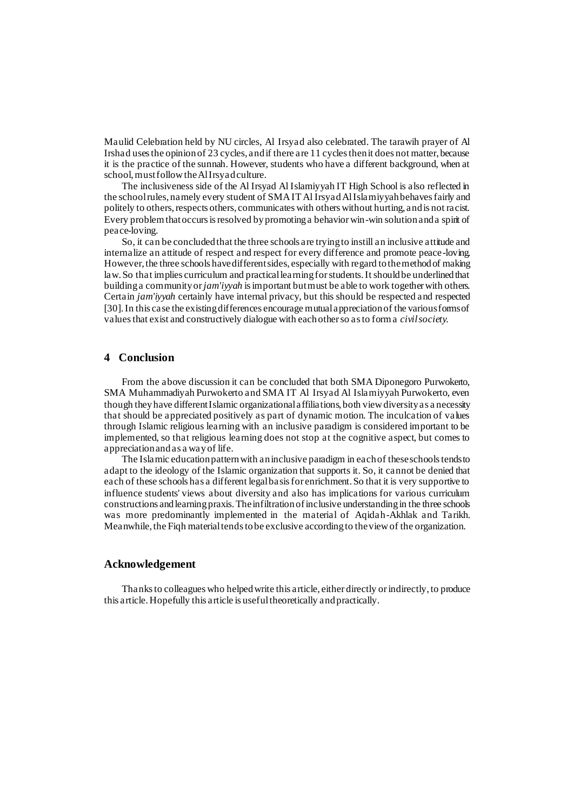Maulid Celebration held by NU circles, Al Irsyad also celebrated. The tarawih prayer of Al Irshad uses the opinion of 23 cycles, and if there are 11 cycles then it does not matter, because it is the practice of the sunnah. However, students who have a different background, when at school, must follow the Al Irsyad culture.

The inclusiveness side of the Al Irsyad Al Islamiyyah IT High School is also reflected in the school rules, namely every student of SMA IT Al Irsyad Al Islamiyyah behaves fairly and politely to others, respects others, communicates with others without hurting, and is not racist. Every problem that occurs is resolved by promoting a behavior win-win solution and a spirit of peace-loving.

So, it can be concluded that the three schools are trying to instill an inclusive attitude and internalize an attitude of respect and respect for every difference and promote peace-loving. However, the three schools have different sides, especially with regard to the method of making law. So that implies curriculum and practical learning for students. It should be underlined that building a community or *jam'iyyah* is important but must be able to work together with others. Certain *jam'iyyah* certainly have internal privacy, but this should be respected and respected [30]. In this case the existing differences encourage mutual appreciation of the various forms of values that exist and constructively dialogue with each other so as to form a *civil society.*

## **4 Conclusion**

From the above discussion it can be concluded that both SMA Diponegoro Purwokerto, SMA Muhammadiyah Purwokerto and SMA IT Al Irsyad Al Islamiyyah Purwokerto, even though they have different Islamic organizational affiliations, both view diversity as a necessity that should be appreciated positively as part of dynamic motion. The inculcation of values through Islamic religious learning with an inclusive paradigm is considered important to be implemented, so that religious learning does not stop at the cognitive aspect, but comes to appreciation and as a way of life.

The Islamic education pattern with an inclusive paradigm in each of these schools tends to adapt to the ideology of the Islamic organization that supports it. So, it cannot be denied that each of these schools has a different legal basis for enrichment. So that it is very supportive to influence students' views about diversity and also has implications for various curriculum constructions and learning praxis. The infiltration of inclusive understanding in the three schools was more predominantly implemented in the material of Aqidah-Akhlak and Tarikh. Meanwhile, the Fiqh material tends to be exclusive according to the view of the organization.

#### **Acknowledgement**

Thanks to colleagues who helped write this article, either directly or indirectly, to produce this article. Hopefully this article is useful theoretically and practically.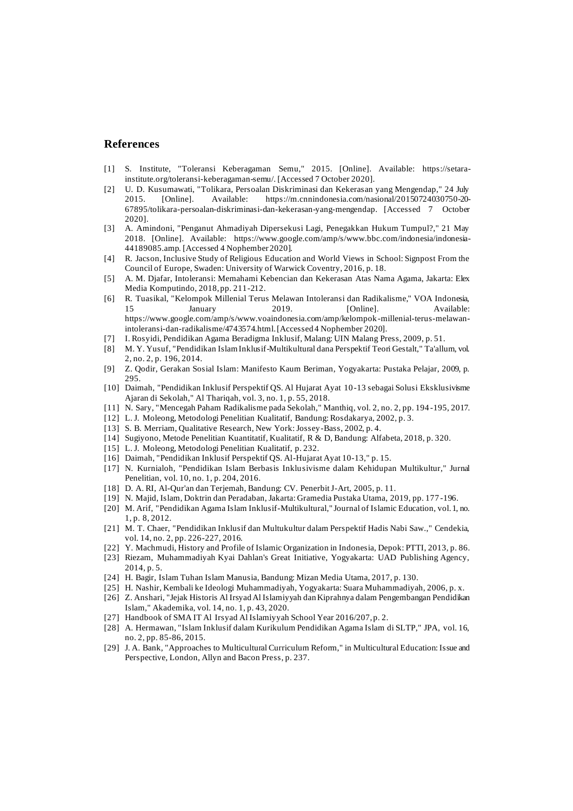## **References**

- [1] S. Institute, "Toleransi Keberagaman Semu," 2015. [Online]. Available: https://setarainstitute.org/toleransi-keberagaman-semu/. [Accessed 7 October 2020].
- [2] U. D. Kusumawati, "Tolikara, Persoalan Diskriminasi dan Kekerasan yang Mengendap," 24 July 2015. [Online]. Available: https://m.cnnindonesia.com/nasional/20150724030750-20- 67895/tolikara-persoalan-diskriminasi-dan-kekerasan-yang-mengendap. [Accessed 7 October 2020].
- [3] A. Amindoni, "Penganut Ahmadiyah Dipersekusi Lagi, Penegakkan Hukum Tumpul?," 21 May 2018. [Online]. Available: https://www.google.com/amp/s/www.bbc.com/indonesia/indonesia-44189085.amp. [Accessed 4 Nophember 2020].
- [4] R. Jacson, Inclusive Study of Religious Education and World Views in School: Signpost From the Council of Europe, Swaden: University of Warwick Coventry, 2016, p. 18.
- [5] A. M. Djafar, Intoleransi: Memahami Kebencian dan Kekerasan Atas Nama Agama, Jakarta: Elex Media Komputindo, 2018, pp. 211-212.
- [6] R. Tuasikal, "Kelompok Millenial Terus Melawan Intoleransi dan Radikalisme," VOA Indonesia, 15 January 2019. [Online]. Available: https://www.google.com/amp/s/www.voaindonesia.com/amp/kelompok-millenial-terus-melawanintoleransi-dan-radikalisme/4743574.html. [Accessed 4 Nophember 2020].
- [7] I. Rosyidi, Pendidikan Agama Beradigma Inklusif, Malang: UIN Malang Press, 2009, p. 51.
- [8] M. Y. Yusuf, "Pendidikan Islam Inklusif-Multikultural dana Perspektif Teori Gestalt," Ta'allum, vol. 2, no. 2, p. 196, 2014.
- [9] Z. Qodir, Gerakan Sosial Islam: Manifesto Kaum Beriman, Yogyakarta: Pustaka Pelajar, 2009, p. 295.
- [10] Daimah, "Pendidikan Inklusif Perspektif QS. Al Hujarat Ayat 10-13 sebagai Solusi Eksklusivisme Ajaran di Sekolah," Al Thariqah, vol. 3, no. 1, p. 55, 2018.
- [11] N. Sary, "Mencegah Paham Radikalisme pada Sekolah," Manthiq, vol. 2, no. 2, pp. 194 -195, 2017.
- [12] L. J. Moleong, Metodologi Penelitian Kualitatif, Bandung: Rosdakarya, 2002, p. 3.
- [13] S. B. Merriam, Qualitative Research, New York: Jossey-Bass, 2002, p. 4.
- [14] Sugiyono, Metode Penelitian Kuantitatif, Kualitatif, R & D, Bandung: Alfabeta, 2018, p. 320.
- [15] L. J. Moleong, Metodologi Penelitian Kualitatif, p. 232.
- [16] Daimah, "Pendidikan Inklusif Perspektif QS. Al-Hujarat Ayat 10-13," p. 15.
- [17] N. Kurnialoh, "Pendidikan Islam Berbasis Inklusivisme dalam Kehidupan Multikultur," Jurnal Penelitian, vol. 10, no. 1, p. 204, 2016.
- [18] D. A. RI, Al-Qur'an dan Terjemah, Bandung: CV. Penerbit J-Art, 2005, p. 11.
- [19] N. Majid, Islam, Doktrin dan Peradaban, Jakarta: Gramedia Pustaka Utama, 2019, pp. 177 -196.
- [20] M. Arif, "Pendidikan Agama Islam Inklusif-Multikultural," Journal of Islamic Education, vol. 1, no. 1, p. 8, 2012.
- [21] M. T. Chaer, "Pendidikan Inklusif dan Multukultur dalam Perspektif Hadis Nabi Saw.," Cendekia, vol. 14, no. 2, pp. 226-227, 2016.
- [22] Y. Machmudi, History and Profile of Islamic Organization in Indonesia, Depok: PTTI, 2013, p. 86.
- [23] Riezam, Muhammadiyah Kyai Dahlan's Great Initiative, Yogyakarta: UAD Publishing Agency, 2014, p. 5.
- [24] H. Bagir, Islam Tuhan Islam Manusia, Bandung: Mizan Media Utama, 2017, p. 130.
- [25] H. Nashir, Kembali ke Ideologi Muhammadiyah, Yogyakarta: Suara Muhammadiyah, 2006, p. x.
- [26] Z. Anshari, "Jejak Historis Al Irsyad Al Islamiyyah dan Kiprahnya dalam Pengembangan Pendidikan Islam," Akademika, vol. 14, no. 1, p. 43, 2020.
- [27] Handbook of SMA IT Al Irsyad Al Islamiyyah School Year 2016/207, p. 2.
- [28] A. Hermawan, "Islam Inklusif dalam Kurikulum Pendidikan Agama Islam di SLTP," JPA, vol. 16, no. 2, pp. 85-86, 2015.
- [29] J. A. Bank, "Approaches to Multicultural Curriculum Reform," in Multicultural Education: Issue and Perspective, London, Allyn and Bacon Press, p. 237.